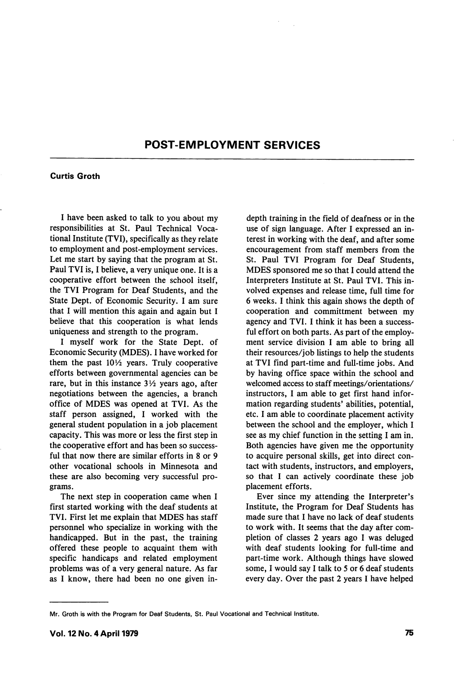## POST-EMPLOYMENT SERVICES

## Curtis Groth

I have been asked to talk to you about my responsibilities at St. Paul Technical Voca tional Institute (TVI), specifically as they relate to employment and post-employment services. Let me start by saying that the program at St. Paul TVI is, I believe, a very unique one. It is a cooperative effort between the school itself, the TVI Program for Deaf Students, and the State Dept. of Economic Security. I am sure that I will mention this again and again but I believe that this cooperation is what lends uniqueness and strength to the program.

I myself work for the State Dept. of Economic Security (MDES). I have worked for them the past  $10\frac{1}{2}$  years. Truly cooperative efforts between governmental agencies can be rare, but in this instance  $3\frac{1}{2}$  years ago, after negotiations between the agencies, a branch office of MDES was opened at TVI. As the staff person assigned, I worked with the general student population in a job placement capacity. This was more or less the first step in the cooperative effort and has been so success ful that now there are similar efforts in 8 or 9 other vocational schools in Minnesota and these are also becoming very successful pro grams.

The next step in cooperation came when I first started working with the deaf students at TVI. First let me explain that MDES has staff personnel who specialize in working with the handicapped. But in the past, the training offered these people to acquaint them with specific handicaps and related employment problems was of a very general nature. As far as I know, there had been no one given indepth training in the field of deafness or in the use of sign language. After I expressed an in terest in working with the deaf, and after some encouragement from staff members from the St. Paul TVI Program for Deaf Students, MDES sponsored me so that I could attend the Interpreters Institute at St. Paul TVI. This in volved expenses and release time, full time for 6 weeks. I think this again shows the depth of cooperation and committment between my agency and TVI. I think it has been a success ful effort on both parts. As part of the employ ment service division I am able to bring all their resources/job listings to help the students at TVI find part-time and full-time jobs. And by having office space within the school and welcomed access to staff meetings/orientations/ instructors, I am able to get first hand infor mation regarding students' abilities, potential, etc. I am able to coordinate placement activity between the school and the employer, which I see as my chief function in the setting I am in. Both agencies have given me the opportunity to acquire personal skills, get into direct con tact with students, instructors, and employers, so that I can actively coordinate these job placement efforts.

Ever since my attending the Interpreter's Institute, the Program for Deaf Students has made sure that I have no lack of deaf students to work with. It seems that the day after com pletion of classes 2 years ago I was deluged with deaf students looking for full-time and part-time work. Although things have slowed some, I would say I talk to 5 or 6 deaf students every day. Over the past 2 years I have helped

Mr. Groth is with the Program for Deaf Students, St. Paul Vocational and Technical Institute.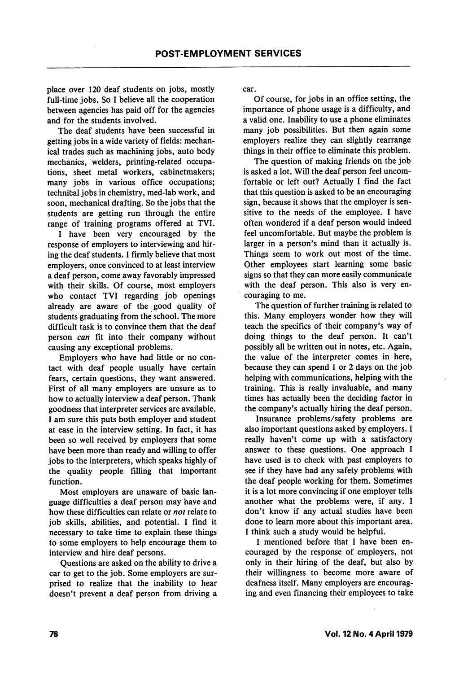place over 120 deaf students on jobs, mostly full-time jobs. So I believe all the cooperation between agencies has paid off for the agencies and for the students involved.

The deaf students have been successful in getting jobs in a wide variety of fields: mechan ical trades such as machining jobs, auto body mechanics, welders, printing-related occupa tions, sheet metal workers, cabinetmakers; many jobs in various office occupations; technifcal jobs in chemistry, med-lab work, and soon, mechanical drafting. So the jobs that the students are getting run through the entire range of training programs offered at TVI.

I have been very encouraged by the response of employers to interviewing and hir ing the deaf students. I firmly believe that most employers, once convinced to at least interview a deaf person, come away favorably impressed with their skills. Of course, most employers who contact TVI regarding job openings already are aware of the good quality of students graduating from the school. The more difficult task is to convince them that the deaf person can fit into their company without causing any exceptional problems.

Employers who have had little or no con tact with deaf people usually have certain fears, certain questions, they want answered. First of all many employers are unsure as to how to actually interview a deaf person. Thank goodness that interpreter services are available. I am sure this puts both employer and student at ease in the interview setting. In fact, it has been so well received by employers that some have been more than ready and willing to offer jobs to the interpreters, which speaks highly of the quality people filling that important function.

Most employers are unaware of basic lan guage difficulties a deaf person may have and how these difficulties can relate or not relate to job skills, abilities, and potential. I find it necessary to take time to explain these things to some employers to help encourage them to interview and hire deaf persons.

Questions are asked on the ability to drive a car to get to the job. Some employers are sur prised to realize that the inability to hear doesn't prevent a deaf person from driving a

car.

Of course, for jobs in an office setting, the importance of phone usage is a difficulty, and a valid one. Inability to use a phone eliminates many job possibilities. But then again some employers realize they can slightly rearrange things in their office to eliminate this problem.

The question of making friends on the job is asked a lot. Will the deaf person feel uncom fortable or left out? Actually I find the fact that this question is asked to be an encouraging sign, because it shows that the employer is sen sitive to the needs of the employee. I have often wondered if a deaf person would indeed feel uncomfortable. But maybe the problem is larger in a person's mind than it actually is. Things seem to work out most of the time. Other employees start learning some basic signs so that they can more easily communicate with the deaf person. This also is very en couraging to me.

The question of further training is related to this. Many employers wonder how they will teach the specifics of their company's way of doing things to the deaf person. It can't possibly all be written out in notes, etc. Again, the value of the interpreter comes in here, because they can spend 1 or 2 days on the job helping with communications, helping with the training. This is really invaluable, and many times has actually been the deciding factor in the company's actually hiring the deaf person.

Insurance problems/safety problems are also important questions asked by employers. I really haven't come up with a satisfactory answer to these questions. One approach I have used is to check with past employers to see if they have had any safety problems with the deaf people working for them. Sometimes it is a lot more convincing if one employer tells another what the problems were, if any. I don't know if any actual studies have been done to learn more about this important area. I think such a study would be helpful.

I mentioned before that I have been en couraged by the response of employers, not only in their hiring of the deaf, but also by their willingness to become more aware of deafness itself. Many employers are encourag ing and even financing their employees to take